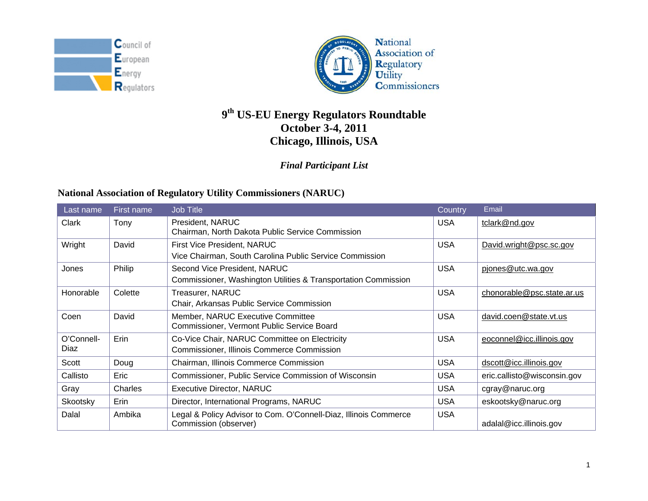



# **<sup>9</sup>th US-EU Energy Regulators Roundtable October 3-4, 2011 Chicago, Illinois, USA**

### *Final Participant List*

### **National Association of Regulatory Utility Commissioners (NARUC)**

| Last name          | First name | <b>Job Title</b>                                                                                   | Country    | Email                       |
|--------------------|------------|----------------------------------------------------------------------------------------------------|------------|-----------------------------|
| Clark              | Tony       | President, NARUC<br>Chairman, North Dakota Public Service Commission                               | <b>USA</b> | tclark@nd.gov               |
| Wright             | David      | First Vice President, NARUC<br>Vice Chairman, South Carolina Public Service Commission             | <b>USA</b> | David.wright@psc.sc.gov     |
| Jones              | Philip     | Second Vice President, NARUC<br>Commissioner, Washington Utilities & Transportation Commission     | <b>USA</b> | pjones@utc.wa.gov           |
| Honorable          | Colette    | Treasurer, NARUC<br>Chair, Arkansas Public Service Commission                                      | <b>USA</b> | chonorable@psc.state.ar.us  |
| Coen               | David      | Member, NARUC Executive Committee<br>Commissioner, Vermont Public Service Board                    | <b>USA</b> | david.coen@state.vt.us      |
| O'Connell-<br>Diaz | Erin       | Co-Vice Chair, NARUC Committee on Electricity<br><b>Commissioner, Illinois Commerce Commission</b> | <b>USA</b> | eoconnel@icc.illinois.gov   |
| Scott              | Doug       | Chairman, Illinois Commerce Commission                                                             | <b>USA</b> | dscott@icc.illinois.gov     |
| Callisto           | Eric       | Commissioner, Public Service Commission of Wisconsin                                               | <b>USA</b> | eric.callisto@wisconsin.gov |
| Gray               | Charles    | <b>Executive Director, NARUC</b>                                                                   | <b>USA</b> | cgray@naruc.org             |
| Skootsky           | Erin       | Director, International Programs, NARUC                                                            | <b>USA</b> | eskootsky@naruc.org         |
| Dalal              | Ambika     | Legal & Policy Advisor to Com. O'Connell-Diaz, Illinois Commerce<br>Commission (observer)          | <b>USA</b> | adalal@icc.illinois.gov     |